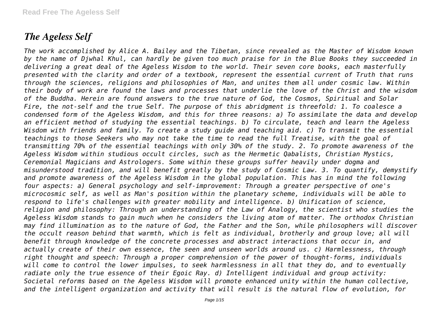# *The Ageless Self*

*The work accomplished by Alice A. Bailey and the Tibetan, since revealed as the Master of Wisdom known by the name of Djwhal Khul, can hardly be given too much praise for in the Blue Books they succeeded in delivering a great deal of the Ageless Wisdom to the world. Their seven core books, each masterfully presented with the clarity and order of a textbook, represent the essential current of Truth that runs through the sciences, religions and philosophies of Man, and unites them all under cosmic law. Within their body of work are found the laws and processes that underlie the love of the Christ and the wisdom of the Buddha. Herein are found answers to the true nature of God, the Cosmos, Spiritual and Solar Fire, the not-self and the true Self. The purpose of this abridgment is threefold: 1. To coalesce a condensed form of the Ageless Wisdom, and this for three reasons: a) To assimilate the data and develop an efficient method of studying the essential teachings. b) To circulate, teach and learn the Ageless Wisdom with friends and family. To create a study guide and teaching aid. c) To transmit the essential teachings to those Seekers who may not take the time to read the full Treatise, with the goal of transmitting 70% of the essential teachings with only 30% of the study. 2. To promote awareness of the Ageless Wisdom within studious occult circles, such as the Hermetic Qabalists, Christian Mystics, Ceremonial Magicians and Astrologers. Some within these groups suffer heavily under dogma and misunderstood tradition, and will benefit greatly by the study of Cosmic Law. 3. To quantify, demystify and promote awareness of the Ageless Wisdom in the global population. This has in mind the following four aspects: a) General psychology and self-improvement: Through a greater perspective of one's microcosmic self, as well as Man's position within the planetary scheme, individuals will be able to respond to life's challenges with greater mobility and intelligence. b) Unification of science, religion and philosophy: Through an understanding of the Law of Analogy, the scientist who studies the Ageless Wisdom stands to gain much when he considers the living atom of matter. The orthodox Christian may find illumination as to the nature of God, the Father and the Son, while philosophers will discover the occult reason behind that warmth, which is felt as individual, brotherly and group love; all will benefit through knowledge of the concrete processes and abstract interactions that occur in, and actually create of their own essence, the seen and unseen worlds around us. c) Harmlessness, through right thought and speech: Through a proper comprehension of the power of thought-forms, individuals will come to control the lower impulses, to seek harmlessness in all that they do, and to eventually radiate only the true essence of their Egoic Ray. d) Intelligent individual and group activity: Societal reforms based on the Ageless Wisdom will promote enhanced unity within the human collective, and the intelligent organization and activity that will result is the natural flow of evolution, for*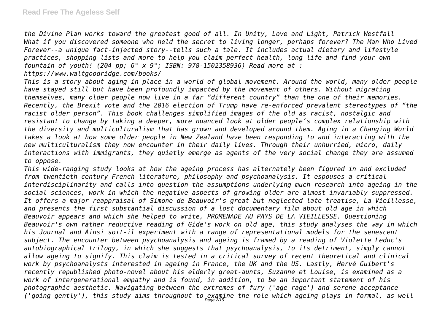*the Divine Plan works toward the greatest good of all. In Unity, Love and Light, Patrick Westfall What if you discovered someone who held the secret to living longer, perhaps forever? The Man Who Lived Forever--a unique fact-injected story--tells such a tale. It includes actual dietary and lifestyle practices, shopping lists and more to help you claim perfect health, long life and find your own fountain of youth! (204 pp; 6" x 9"; ISBN: 978-1502358936) Read more at :*

*https://www.waltgoodridge.com/books/*

*This is a story about aging in place in a world of global movement. Around the world, many older people have stayed still but have been profoundly impacted by the movement of others. Without migrating themselves, many older people now live in a far "different country" than the one of their memories. Recently, the Brexit vote and the 2016 election of Trump have re-enforced prevalent stereotypes of "the racist older person". This book challenges simplified images of the old as racist, nostalgic and resistant to change by taking a deeper, more nuanced look at older people's complex relationship with the diversity and multiculturalism that has grown and developed around them. Aging in a Changing World takes a look at how some older people in New Zealand have been responding to and interacting with the new multiculturalism they now encounter in their daily lives. Through their unhurried, micro, daily interactions with immigrants, they quietly emerge as agents of the very social change they are assumed to oppose.*

*This wide-ranging study looks at how the ageing process has alternately been figured in and excluded from twentieth-century French literature, philosophy and psychoanalysis. It espouses a critical interdisciplinarity and calls into question the assumptions underlying much research into ageing in the social sciences, work in which the negative aspects of growing older are almost invariably suppressed. It offers a major reappraisal of Simone de Beauvoir's great but neglected late treatise, La Vieillesse, and presents the first substantial discussion of a lost documentary film about old age in which Beauvoir appears and which she helped to write, PROMENADE AU PAYS DE LA VIEILLESSE. Questioning Beauvoir's own rather reductive reading of Gide's work on old age, this study analyses the way in which his Journal and Ainsi soit-il experiment with a range of representational models for the senescent subject. The encounter between psychoanalysis and ageing is framed by a reading of Violette Leduc's autobiographical trilogy, in which she suggests that psychoanalysis, to its detriment, simply cannot allow ageing to signify. This claim is tested in a critical survey of recent theoretical and clinical work by psychoanalysts interested in ageing in France, the UK and the US. Lastly, Hervé Guibert's recently republished photo-novel about his elderly great-aunts, Suzanne et Louise, is examined as a work of intergenerational empathy and is found, in addition, to be an important statement of his photographic aesthetic. Navigating between the extremes of fury ('age rage') and serene acceptance ('going gently'), this study aims throughout to examine the role which ageing plays in formal, as well* Page 2/15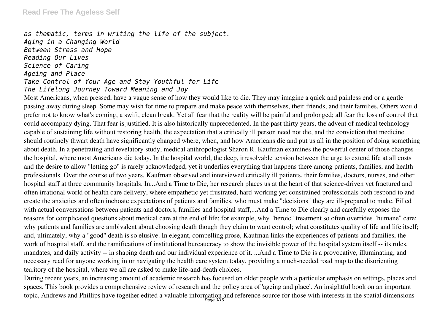## **Read Free The Ageless Self**

*as thematic, terms in writing the life of the subject. Aging in a Changing World Between Stress and Hope Reading Our Lives Science of Caring Ageing and Place Take Control of Your Age and Stay Youthful for Life The Lifelong Journey Toward Meaning and Joy*

Most Americans, when pressed, have a vague sense of how they would like to die. They may imagine a quick and painless end or a gentle passing away during sleep. Some may wish for time to prepare and make peace with themselves, their friends, and their families. Others would prefer not to know what's coming, a swift, clean break. Yet all fear that the reality will be painful and prolonged; all fear the loss of control that could accompany dying. That fear is justified. It is also historically unprecedented. In the past thirty years, the advent of medical technology capable of sustaining life without restoring health, the expectation that a critically ill person need not die, and the conviction that medicine should routinely thwart death have significantly changed where, when, and how Americans die and put us all in the position of doing something about death. In a penetrating and revelatory study, medical anthropologist Sharon R. Kaufman examines the powerful center of those changes - the hospital, where most Americans die today. In the hospital world, the deep, irresolvable tension between the urge to extend life at all costs and the desire to allow "letting go" is rarely acknowledged, yet it underlies everything that happens there among patients, families, and health professionals. Over the course of two years, Kaufman observed and interviewed critically ill patients, their families, doctors, nurses, and other hospital staff at three community hospitals. In...And a Time to Die, her research places us at the heart of that science-driven yet fractured and often irrational world of health care delivery, where empathetic yet frustrated, hard-working yet constrained professionals both respond to and create the anxieties and often inchoate expectations of patients and families, who must make "decisions" they are ill-prepared to make. Filled with actual conversations between patients and doctors, families and hospital staff,...And a Time to Die clearly and carefully exposes the reasons for complicated questions about medical care at the end of life: for example, why "heroic" treatment so often overrides "humane" care; why patients and families are ambivalent about choosing death though they claim to want control; what constitutes quality of life and life itself; and, ultimately, why a "good" death is so elusive. In elegant, compelling prose, Kaufman links the experiences of patients and families, the work of hospital staff, and the ramifications of institutional bureaucracy to show the invisible power of the hospital system itself -- its rules, mandates, and daily activity -- in shaping death and our individual experience of it. ...And a Time to Die is a provocative, illuminating, and necessary read for anyone working in or navigating the health care system today, providing a much-needed road map to the disorienting territory of the hospital, where we all are asked to make life-and-death choices.

During recent years, an increasing amount of academic research has focused on older people with a particular emphasis on settings, places and spaces. This book provides a comprehensive review of research and the policy area of 'ageing and place'. An insightful book on an important topic, Andrews and Phillips have together edited a valuable information and reference source for those with interests in the spatial dimensions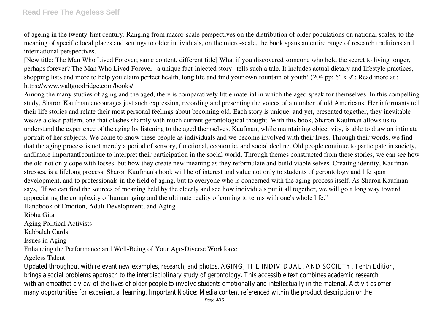of ageing in the twenty-first century. Ranging from macro-scale perspectives on the distribution of older populations on national scales, to the meaning of specific local places and settings to older individuals, on the micro-scale, the book spans an entire range of research traditions and international perspectives.

[New title: The Man Who Lived Forever; same content, different title] What if you discovered someone who held the secret to living longer, perhaps forever? The Man Who Lived Forever--a unique fact-injected story--tells such a tale. It includes actual dietary and lifestyle practices, shopping lists and more to help you claim perfect health, long life and find your own fountain of youth! (204 pp; 6" x 9"; Read more at : https://www.waltgoodridge.com/books/

Among the many studies of aging and the aged, there is comparatively little material in which the aged speak for themselves. In this compelling study, Sharon Kaufman encourages just such expression, recording and presenting the voices of a number of old Americans. Her informants tell their life stories and relate their most personal feelings about becoming old. Each story is unique, and yet, presented together, they inevitable weave a clear pattern, one that clashes sharply with much current gerontological thought. With this book, Sharon Kaufman allows us to understand the experience of the aging by listening to the aged themselves. Kaufman, while maintaining objectivity, is able to draw an intimate portrait of her subjects. We come to know these people as individuals and we become involved with their lives. Through their words, we find that the aging process is not merely a period of sensory, functional, economic, and social decline. Old people continue to participate in society, and important continue to interpret their participation in the social world. Through themes constructed from these stories, we can see how the old not only cope with losses, but how they create new meaning as they reformulate and build viable selves. Creating identity, Kaufman stresses, is a lifelong process. Sharon Kaufman's book will be of interest and value not only to students of gerontology and life span development, and to professionals in the field of aging, but to everyone who is concerned with the aging process itself. As Sharon Kaufman says, "If we can find the sources of meaning held by the elderly and see how individuals put it all together, we will go a long way toward appreciating the complexity of human aging and the ultimate reality of coming to terms with one's whole life."

Handbook of Emotion, Adult Development, and Aging

Ribhu Gita

Aging Political Activists

Kabbalah Cards

Issues in Aging

Enhancing the Performance and Well-Being of Your Age-Diverse Workforce

Ageless Talent

Updated throughout with relevant new examples, research, and photos, AGING, THE INDIVIDUAL, AND SOCIETY, Tenth Edition, brings a social problems approach to the interdisciplinary study of gerontology. This accessible text combines academic research with an empathetic view of the lives of older people to involve students emotionally and intellectually in the material. Activities offer many opportunities for experiential learning. Important Notice: Media content referenced within the product description or the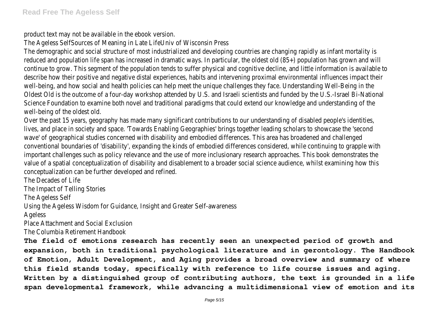product text may not be available in the ebook version.

The Ageless SelfSources of Meaning in Late LifeUniv of Wisconsin Press

The demographic and social structure of most industrialized and developing countries are changing rapidly as infant mortality is reduced and population life span has increased in dramatic ways. In particular, the oldest old (85+) population has grown and will continue to grow. This segment of the population tends to suffer physical and cognitive decline, and little information is available to describe how their positive and negative distal experiences, habits and intervening proximal environmental influences impact their well-being, and how social and health policies can help meet the unique challenges they face. Understanding Well-Being in the Oldest Old is the outcome of a four-day workshop attended by U.S. and Israeli scientists and funded by the U.S.-Israel Bi-National Science Foundation to examine both novel and traditional paradigms that could extend our knowledge and understanding of the well-being of the oldest old.

Over the past 15 years, geography has made many significant contributions to our understanding of disabled people's identities, lives, and place in society and space. 'Towards Enabling Geographies' brings together leading scholars to showcase the 'second wave' of geographical studies concerned with disability and embodied differences. This area has broadened and challenged conventional boundaries of 'disability', expanding the kinds of embodied differences considered, while continuing to grapple with important challenges such as policy relevance and the use of more inclusionary research approaches. This book demonstrates the value of a spatial conceptualization of disability and disablement to a broader social science audience, whilst examining how this conceptualization can be further developed and refined.

The Decades of Life

The Impact of Telling Stories

The Ageless Self

Using the Ageless Wisdom for Guidance, Insight and Greater Self-awareness

Ageless

Place Attachment and Social Exclusion

The Columbia Retirement Handbook

**The field of emotions research has recently seen an unexpected period of growth and expansion, both in traditional psychological literature and in gerontology. The Handbook of Emotion, Adult Development, and Aging provides a broad overview and summary of where this field stands today, specifically with reference to life course issues and aging. Written by a distinguished group of contributing authors, the text is grounded in a life span developmental framework, while advancing a multidimensional view of emotion and its**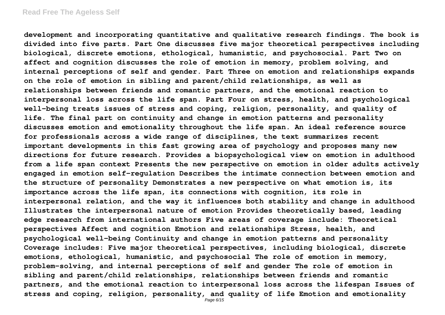**development and incorporating quantitative and qualitative research findings. The book is divided into five parts. Part One discusses five major theoretical perspectives including biological, discrete emotions, ethological, humanistic, and psychosocial. Part Two on affect and cognition discusses the role of emotion in memory, problem solving, and internal perceptions of self and gender. Part Three on emotion and relationships expands on the role of emotion in sibling and parent/child relationships, as well as relationships between friends and romantic partners, and the emotional reaction to interpersonal loss across the life span. Part Four on stress, health, and psychological well-being treats issues of stress and coping, religion, personality, and quality of life. The final part on continuity and change in emotion patterns and personality discusses emotion and emotionality throughout the life span. An ideal reference source for professionals across a wide range of disciplines, the text summarizes recent important developments in this fast growing area of psychology and proposes many new directions for future research. Provides a biopsychological view on emotion in adulthood from a life span context Presents the new perspective on emotion in older adults actively engaged in emotion self-regulation Describes the intimate connection between emotion and the structure of personality Demonstrates a new perspective on what emotion is, its importance across the life span, its connections with cognition, its role in interpersonal relation, and the way it influences both stability and change in adulthood Illustrates the interpersonal nature of emotion Provides theoretically based, leading edge research from international authors Five areas of coverage include: Theoretical perspectives Affect and cognition Emotion and relationships Stress, health, and psychological well-being Continuity and change in emotion patterns and personality Coverage includes: Five major theoretical perspectives, including biological, discrete emotions, ethological, humanistic, and psychosocial The role of emotion in memory, problem-solving, and internal perceptions of self and gender The role of emotion in sibling and parent/child relationships, relationships between friends and romantic partners, and the emotional reaction to interpersonal loss across the lifespan Issues of stress and coping, religion, personality, and quality of life Emotion and emotionality**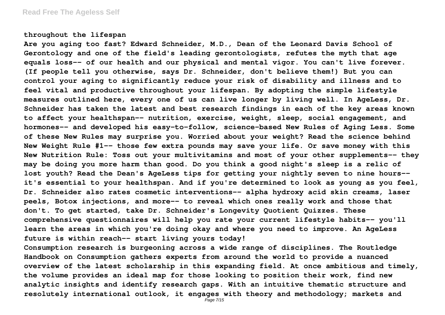#### **throughout the lifespan**

**Are you aging too fast? Edward Schneider, M.D., Dean of the Leonard Davis School of Gerontology and one of the field's leading gerontologists, refutes the myth that age equals loss-- of our health and our physical and mental vigor. You can't live forever. (If people tell you otherwise, says Dr. Schneider, don't believe them!) But you can control your aging to significantly reduce your risk of disability and illness and to feel vital and productive throughout your lifespan. By adopting the simple lifestyle measures outlined here, every one of us can live longer by living well. In AgeLess, Dr. Schneider has taken the latest and best research findings in each of the key areas known to affect your healthspan-- nutrition, exercise, weight, sleep, social engagement, and hormones-- and developed his easy-to-follow, science-based New Rules of Aging Less. Some of these New Rules may surprise you. Worried about your weight? Read the science behind New Weight Rule #1-- those few extra pounds may save your life. Or save money with this New Nutrition Rule: Toss out your multivitamins and most of your other supplements-- they may be doing you more harm than good. Do you think a good night's sleep is a relic of lost youth? Read the Dean's AgeLess tips for getting your nightly seven to nine hours- it's essential to your healthspan. And if you're determined to look as young as you feel, Dr. Schneider also rates cosmetic interventions-- alpha hydroxy acid skin creams, laser peels, Botox injections, and more-- to reveal which ones really work and those that don't. To get started, take Dr. Schneider's Longevity Quotient Quizzes. These comprehensive questionnaires will help you rate your current lifestyle habits-- you'll learn the areas in which you're doing okay and where you need to improve. An AgeLess future is within reach-- start living yours today!**

**Consumption research is burgeoning across a wide range of disciplines. The Routledge Handbook on Consumption gathers experts from around the world to provide a nuanced overview of the latest scholarship in this expanding field. At once ambitious and timely, the volume provides an ideal map for those looking to position their work, find new analytic insights and identify research gaps. With an intuitive thematic structure and resolutely international outlook, it engages with theory and methodology; markets and**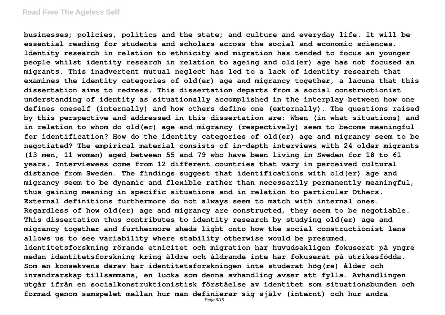#### **Read Free The Ageless Self**

**businesses; policies, politics and the state; and culture and everyday life. It will be essential reading for students and scholars across the social and economic sciences. ldentity research in relation to ethnicity and migration has tended to focus an younger people whilst identity research in relation to ageing and old(er) age has not focused an migrants. This inadvertent mutual neglect has led to a lack of identity research that examines the identity categories of old(er) age and migrancy together, a lacuna that this dissertation aims to redress. This dissertation departs from a social constructionist understanding of identity as situationally accomplished in the interplay between how one defines oneself (internally) and how others define one (externally). The questions raised by this perspective and addressed in this dissertation are: When (in what situations) and in relation to whom do old(er) age and migrancy (respectively) seem to become meaningful for identification? How do the identity categories of old(er) age and migrancy seem to be negotiated? The empirical material consists of in-depth interviews with 24 older migrants (13 men, 11 women) aged between 55 and 79 who have been living in Sweden for 18 to 61 years. Interviewees come from 12 different countries that vary in perceived cultural distance from Sweden. The findings suggest that identifications with old(er) age and migrancy seem to be dynamic and flexible rather than necessarily permanently meaningful, thus gaining meaning in specific situations and in relation to particular Others. External definitions furthermore do not always seem to match with internal ones. Regardless of how old(er) age and migrancy are constructed, they seem to be negotiable. This dissertation thus contributes to identity research by studying old(er) age and migrancy together and furthermore sheds light onto how the social constructionist lens allows us to see variability where stability otherwise would be presumed. ldentitetsforskning rörande etnicitet och migration har huvudsakligen fokuserat på yngre medan identitetsforskning kring äldre och åldrande inte har fokuserat på utrikesfödda. Som en konsekvens därav har identitetsforskningen inte studerat hög(re) ålder och invandrarskap tillsammans, en lucka som denna avhandling avser att fylla. Avhandlingen utgår ifrån en socialkonstruktionistisk förståelse av identitet som situationsbunden och formad genom samspelet mellan hur man definierar sig själv (internt) och hur andra**

Page 8/15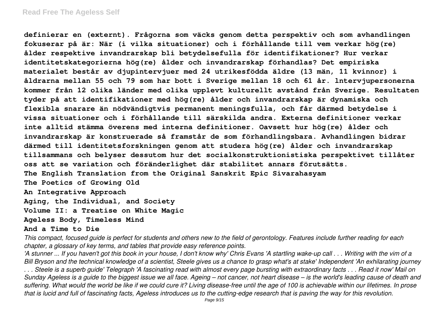**definierar en (externt). Frågorna som väcks genom detta perspektiv och som avhandlingen fokuserar på är: När (i vilka situationer) och i förhållande till vem verkar hög(re) ålder respektive invandrarskap bli betydelsefulla för identifikationer? Hur verkar identitetskategorierna hög(re) ålder och invandrarskap förhandlas? Det empiriska materialet består av djupintervjuer med 24 utrikesfödda äldre (13 män, 11 kvinnor) i åldrarna mellan 55 och 79 som har bott i Sverige mellan 18 och 61 år. lntervjupersonerna kommer från 12 olika länder med olika upplevt kulturellt avstånd från Sverige. Resultaten tyder på att identifikationer med hög(re) ålder och invandrarskap är dynamiska och flexibla snarare än nödvändigtvis permanent meningsfulla, och får därmed betydelse i vissa situationer och i förhållande till särskilda andra. Externa definitioner verkar inte alltid stämma överens med interna definitioner. Oavsett hur hög(re) ålder och invandrarskap är konstruerade så framstår de som förhandlingsbara. Avhandlingen bidrar därmed till identitetsforskningen genom att studera hög(re) ålder och invandrarskap tillsammans och belyser dessutom hur det socialkonstruktionistiska perspektivet tillåter oss att se variation och föränderlighet där stabilitet annars förutsätts. The English Translation from the Original Sanskrit Epic Sivarahasyam The Poetics of Growing Old An Integrative Approach Aging, the Individual, and Society Volume II: a Treatise on White Magic Ageless Body, Timeless Mind**

#### **And a Time to Die**

*This compact, focused guide is perfect for students and others new to the field of gerontology. Features include further reading for each chapter, a glossary of key terms, and tables that provide easy reference points.*

*'A stunner ... If you haven't got this book in your house, I don't know why' Chris Evans 'A startling wake-up call . . . Writing with the vim of a Bill Bryson and the technical knowledge of a scientist, Steele gives us a chance to grasp what's at stake' Independent 'An exhilarating journey . . . Steele is a superb guide' Telegraph 'A fascinating read with almost every page bursting with extraordinary facts . . . Read it now' Mail on Sunday Ageless is a guide to the biggest issue we all face. Ageing – not cancer, not heart disease – is the world's leading cause of death and suffering. What would the world be like if we could cure it? Living disease-free until the age of 100 is achievable within our lifetimes. In prose that is lucid and full of fascinating facts, Ageless introduces us to the cutting-edge research that is paving the way for this revolution.*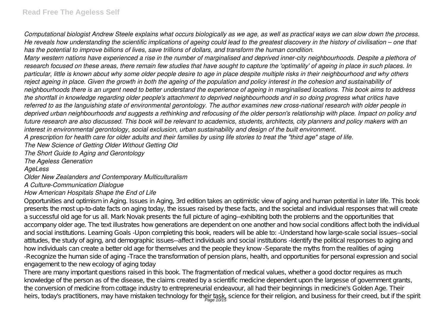*Computational biologist Andrew Steele explains what occurs biologically as we age, as well as practical ways we can slow down the process. He reveals how understanding the scientific implications of ageing could lead to the greatest discovery in the history of civilisation – one that has the potential to improve billions of lives, save trillions of dollars, and transform the human condition.*

*Many western nations have experienced a rise in the number of marginalised and deprived inner-city neighbourhoods. Despite a plethora of research focused on these areas, there remain few studies that have sought to capture the 'optimality' of ageing in place in such places. In particular, little is known about why some older people desire to age in place despite multiple risks in their neighbourhood and why others reject ageing in place. Given the growth in both the ageing of the population and policy interest in the cohesion and sustainability of neighbourhoods there is an urgent need to better understand the experience of ageing in marginalised locations. This book aims to address the shortfall in knowledge regarding older people's attachment to deprived neighbourhoods and in so doing progress what critics have referred to as the languishing state of environmental gerontology. The author examines new cross-national research with older people in deprived urban neighbourhoods and suggests a rethinking and refocusing of the older person's relationship with place. Impact on policy and future research are also discussed. This book will be relevant to academics, students, architects, city planners and policy makers with an interest in environmental gerontology, social exclusion, urban sustainability and design of the built environment.*

*A prescription for health care for older adults and their families by using life stories to treat the "third age" stage of life.*

*The New Science of Getting Older Without Getting Old*

*The Short Guide to Aging and Gerontology*

*The Ageless Generation*

*AgeLess*

*Older New Zealanders and Contemporary Multiculturalism*

*A Culture-Communication Dialogue*

### *How American Hospitals Shape the End of Life*

Opportunities and optimism in Aging. Issues in Aging, 3rd edition takes an optimistic view of aging and human potential in later life. This book presents the most up-to-date facts on aging today, the issues raised by these facts, and the societal and individual responses that will create a successful old age for us all. Mark Novak presents the full picture of aging--exhibiting both the problems and the opportunities that accompany older age. The text illustrates how generations are dependent on one another and how social conditions affect both the individual and social institutions. Learning Goals -Upon completing this book, readers will be able to: -Understand how large-scale social issues--social attitudes, the study of aging, and demographic issues--affect individuals and social institutions -Identify the political responses to aging and how individuals can create a better old age for themselves and the people they know -Separate the myths from the realities of aging -Recognize the human side of aging -Trace the transformation of pension plans, health, and opportunities for personal expression and social engagement to the new ecology of aging today

There are many important questions raised in this book. The fragmentation of medical values, whether a good doctor requires as much knowledge of the person as of the disease, the claims created by a scientific medicine dependent upon the largesse of government grants, the conversion of medicine from cottage industry to entrepreneurial endeavour, all had their beginnings in medicine's Golden Age. Their heirs, today's practitioners, may have mistaken technology for their task, science for their religion, and business for their creed, but if the spirit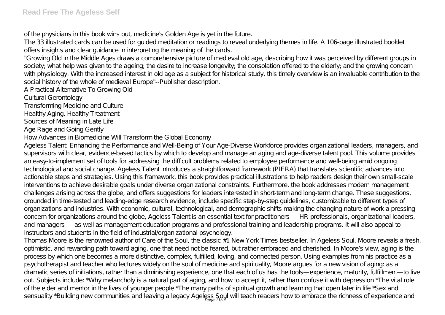of the physicians in this book wins out, medicine's Golden Age is yet in the future.

The 33 illustrated cards can be used for guided meditation or readings to reveal underlying themes in life. A 106-page illustrated booklet offers insights and clear guidance in interpreting the meaning of the cards.

"Growing Old in the Middle Ages draws a comprehensive picture of medieval old age, describing how it was perceived by different groups in society; what help was given to the ageing; the desire to increase longevity; the consolation offered to the elderly; and the growing concern with physiology. With the increased interest in old age as a subject for historical study, this timely overview is an invaluable contribution to the social history of the whole of medieval Europe"--Publisher description.

A Practical Alternative To Growing Old

Cultural Gerontology

Transforming Medicine and Culture

Healthy Aging, Healthy Treatment

Sources of Meaning in Late Life

Age Rage and Going Gently

How Advances in Biomedicine Will Transform the Global Economy

Ageless Talent: Enhancing the Performance and Well-Being of Your Age-Diverse Workforce provides organizational leaders, managers, and supervisors with clear, evidence-based tactics by which to develop and manage an aging and age-diverse talent pool. This volume provides an easy-to-implement set of tools for addressing the difficult problems related to employee performance and well-being amid ongoing technological and social change. Ageless Talent introduces a straightforward framework (PIERA) that translates scientific advances into actionable steps and strategies. Using this framework, this book provides practical illustrations to help readers design their own small-scale interventions to achieve desirable goals under diverse organizational constraints. Furthermore, the book addresses modern management challenges arising across the globe, and offers suggestions for leaders interested in short-term and long-term change. These suggestions, grounded in time-tested and leading-edge research evidence, include specific step-by-step guidelines, customizable to different types of organizations and industries. With economic, cultural, technological, and demographic shifts making the changing nature of work a pressing concern for organizations around the globe, Ageless Talent is an essential text for practitioners – HR professionals, organizational leaders, and managers – as well as management education programs and professional training and leadership programs. It will also appeal to instructors and students in the field of industrial/organizational psychology.

Thomas Moore is the renowned author of Care of the Soul, the classic #1 New York Times bestseller. In Ageless Soul, Moore reveals a fresh, optimistic, and rewarding path toward aging, one that need not be feared, but rather embraced and cherished. In Moore's view, aging is the process by which one becomes a more distinctive, complex, fulfilled, loving, and connected person. Using examples from his practice as a psychotherapist and teacher who lectures widely on the soul of medicine and spirituality, Moore argues for a new vision of aging: as a dramatic series of initiations, rather than a diminishing experience, one that each of us has the tools—experience, maturity, fulfillment—to live out. Subjects include: \*Why melancholy is a natural part of aging, and how to accept it, rather than confuse it with depression \*The vital role of the elder and mentor in the lives of younger people \*The many paths of spiritual growth and learning that open later in life \*Sex and sensuality \*Building new communities and leaving a legacy Ageless Soul will teach readers how to embrace the richness of experience and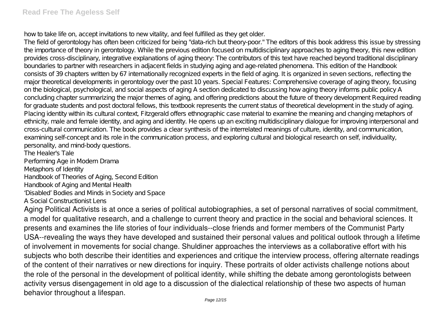how to take life on, accept invitations to new vitality, and feel fulfilled as they get older.

The field of gerontology has often been criticized for being "data-rich but theory-poor." The editors of this book address this issue by stressing the importance of theory in gerontology. While the previous edition focused on multidisciplinary approaches to aging theory, this new edition provides cross-disciplinary, integrative explanations of aging theory: The contributors of this text have reached beyond traditional disciplinary boundaries to partner with researchers in adjacent fields in studying aging and age-related phenomena. This edition of the Handbook consists of 39 chapters written by 67 internationally recognized experts in the field of aging. It is organized in seven sections, reflecting the major theoretical developments in gerontology over the past 10 years. Special Features: Comprehensive coverage of aging theory, focusing on the biological, psychological, and social aspects of aging A section dedicated to discussing how aging theory informs public policy A concluding chapter summarizing the major themes of aging, and offering predictions about the future of theory development Required reading for graduate students and post doctoral fellows, this textbook represents the current status of theoretical development in the study of aging. Placing identity within its cultural context, Fitzgerald offers ethnographic case material to examine the meaning and changing metaphors of ethnicity, male and female identity, and aging and identity. He opens up an exciting multidisciplinary dialogue for improving interpersonal and cross-cultural communication. The book provides a clear synthesis of the interrelated meanings of culture, identity, and communication, examining self-concept and its role in the communication process, and exploring cultural and biological research on self, individuality, personality, and mind-body questions.

The Healer's Tale Performing Age in Modern Drama Metaphors of Identity Handbook of Theories of Aging, Second Edition Handbook of Aging and Mental Health 'Disabled' Bodies and Minds in Society and Space A Social Constructionist Lens

Aging Political Activists is at once a series of political autobiographies, a set of personal narratives of social commitment, a model for qualitative research, and a challenge to current theory and practice in the social and behavioral sciences. It presents and examines the life stories of four individuals--close friends and former members of the Communist Party USA--revealing the ways they have developed and sustained their personal values and political outlook through a lifetime of involvement in movements for social change. Shuldiner approaches the interviews as a collaborative effort with his subjects who both describe their identities and experiences and critique the interview process, offering alternate readings of the content of their narratives or new directions for inquiry. These portraits of older activists challenge notions about the role of the personal in the development of political identity, while shifting the debate among gerontologists between activity versus disengagement in old age to a discussion of the dialectical relationship of these two aspects of human behavior throughout a lifespan.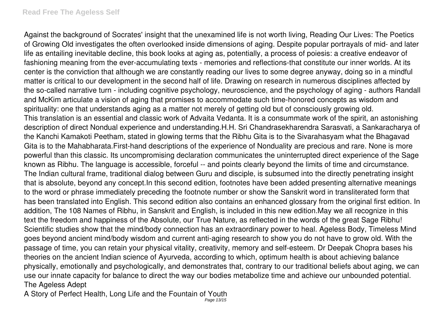Against the background of Socrates' insight that the unexamined life is not worth living, Reading Our Lives: The Poetics of Growing Old investigates the often overlooked inside dimensions of aging. Despite popular portrayals of mid- and later life as entailing inevitable decline, this book looks at aging as, potentially, a process of poiesis: a creative endeavor of fashioning meaning from the ever-accumulating texts - memories and reflections-that constitute our inner worlds. At its center is the conviction that although we are constantly reading our lives to some degree anyway, doing so in a mindful matter is critical to our development in the second half of life. Drawing on research in numerous disciplines affected by the so-called narrative turn - including cognitive psychology, neuroscience, and the psychology of aging - authors Randall and McKim articulate a vision of aging that promises to accommodate such time-honored concepts as wisdom and spirituality: one that understands aging as a matter not merely of getting old but of consciously growing old. This translation is an essential and classic work of Advaita Vedanta. It is a consummate work of the spirit, an astonishing description of direct Nondual experience and understanding.H.H. Sri Chandrasekharendra Sarasvati, a Sankaracharya of the Kanchi Kamakoti Peetham, stated in glowing terms that the Ribhu Gita is to the Sivarahasyam what the Bhagavad Gita is to the Mahabharata.First-hand descriptions of the experience of Nonduality are precious and rare. None is more powerful than this classic. Its uncompromising declaration communicates the uninterrupted direct experience of the Sage known as Ribhu. The language is accessible, forceful -- and points clearly beyond the limits of time and circumstance. The Indian cultural frame, traditional dialog between Guru and disciple, is subsumed into the directly penetrating insight that is absolute, beyond any concept.In this second edition, footnotes have been added presenting alternative meanings to the word or phrase immediately preceding the footnote number or show the Sanskrit word in transliterated form that has been translated into English. This second edition also contains an enhanced glossary from the original first edition. In addition, The 108 Names of Ribhu, in Sanskrit and English, is included in this new edition.May we all recognize in this text the freedom and happiness of the Absolute, our True Nature, as reflected in the words of the great Sage Ribhu! Scientific studies show that the mind/body connection has an extraordinary power to heal. Ageless Body, Timeless Mind goes beyond ancient mind/body wisdom and current anti-aging research to show you do not have to grow old. With the passage of time, you can retain your physical vitality, creativity, memory and self-esteem. Dr Deepak Chopra bases his theories on the ancient Indian science of Ayurveda, according to which, optimum health is about achieving balance physically, emotionally and psychologically, and demonstrates that, contrary to our traditional beliefs about aging, we can use our innate capacity for balance to direct the way our bodies metabolize time and achieve our unbounded potential. The Ageless Adept

A Story of Perfect Health, Long Life and the Fountain of Youth Page 13/15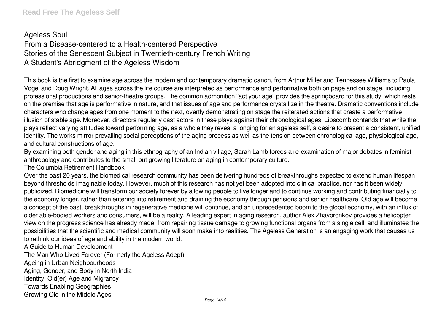# Ageless Soul

From a Disease-centered to a Health-centered Perspective Stories of the Senescent Subject in Twentieth-century French Writing A Student's Abridgment of the Ageless Wisdom

This book is the first to examine age across the modern and contemporary dramatic canon, from Arthur Miller and Tennessee Williams to Paula Vogel and Doug Wright. All ages across the life course are interpreted as performance and performative both on page and on stage, including professional productions and senior-theatre groups. The common admonition "act your age" provides the springboard for this study, which rests on the premise that age is performative in nature, and that issues of age and performance crystallize in the theatre. Dramatic conventions include characters who change ages from one moment to the next, overtly demonstrating on stage the reiterated actions that create a performative illusion of stable age. Moreover, directors regularly cast actors in these plays against their chronological ages. Lipscomb contends that while the plays reflect varying attitudes toward performing age, as a whole they reveal a longing for an ageless self, a desire to present a consistent, unified identity. The works mirror prevailing social perceptions of the aging process as well as the tension between chronological age, physiological age, and cultural constructions of age.

By examining both gender and aging in this ethnography of an Indian village, Sarah Lamb forces a re-examination of major debates in feminist anthropology and contributes to the small but growing literature on aging in contemporary culture.

The Columbia Retirement Handbook

Over the past 20 years, the biomedical research community has been delivering hundreds of breakthroughs expected to extend human lifespan beyond thresholds imaginable today. However, much of this research has not yet been adopted into clinical practice, nor has it been widely publicized. Biomedicine will transform our society forever by allowing people to live longer and to continue working and contributing financially to the economy longer, rather than entering into retirement and draining the economy through pensions and senior healthcare. Old age will become a concept of the past, breakthroughs in regenerative medicine will continue, and an unprecedented boom to the global economy, with an influx of older able-bodied workers and consumers, will be a reality. A leading expert in aging research, author Alex Zhavoronkov provides a helicopter view on the progress science has already made, from repairing tissue damage to growing functional organs from a single cell, and illuminates the possibilities that the scientific and medical community will soon make into realities. The Ageless Generation is an engaging work that causes us to rethink our ideas of age and ability in the modern world.

A Guide to Human Development

The Man Who Lived Forever (Formerly the Ageless Adept)

Ageing in Urban Neighbourhoods

Aging, Gender, and Body in North India

Identity, Old(er) Age and Migrancy

Towards Enabling Geographies

Growing Old in the Middle Ages